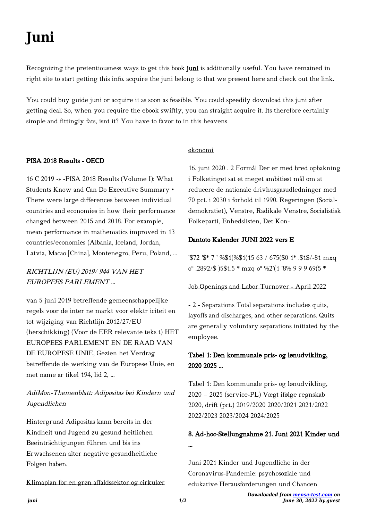# **Juni**

Recognizing the pretentiousness ways to get this book juni is additionally useful. You have remained in right site to start getting this info. acquire the juni belong to that we present here and check out the link.

You could buy guide juni or acquire it as soon as feasible. You could speedily download this juni after getting deal. So, when you require the ebook swiftly, you can straight acquire it. Its therefore certainly simple and fittingly fats, isnt it? You have to favor to in this heavens

#### PISA 2018 Results - OECD

16 C 2019 -» -PISA 2018 Results (Volume I): What Students Know and Can Do Executive Summary • There were large differences between individual countries and economies in how their performance changed between 2015 and 2018. For example, mean performance in mathematics improved in 13 countries/economies (Albania, Iceland, Jordan, Latvia, Macao [China], Montenegro, Peru, Poland, …

RICHTLIJN (EU) 2019/ 944 VAN HET EUROPEES PARLEMENT …

van 5 juni 2019 betreffende gemeenschappelijke regels voor de inter ne markt voor elektr iciteit en tot wijziging van Richtlijn 2012/27/EU (herschikking) (Voor de EER relevante teks t) HET EUROPEES PARLEMENT EN DE RAAD VAN DE EUROPESE UNIE, Gezien het Verdrag betreffende de werking van de Europese Unie, en met name ar tikel 194, lid 2, ...

## AdiMon-Themenblatt: Adipositas bei Kindern und Jugendlichen

Hintergrund Adipositas kann bereits in der Kindheit und Jugend zu gesund heitlichen Beeinträchtigungen führen und bis ins Erwachsenen alter negative gesundheitliche Folgen haben.

Klimaplan for en grøn affaldssektor og cirkulær

#### økonomi

16. juni 2020 . 2 Formål Der er med bred opbakning i Folketinget sat et meget ambitiøst mål om at reducere de nationale drivhusgasudledninger med 70 pct. i 2030 i forhold til 1990. Regeringen (Socialdemokratiet), Venstre, Radikale Venstre, Socialistisk Folkeparti, Enhedslisten, Det Kon-

#### Dantoto Kalender JUNI 2022 vers E

'\$72 '\$\* 7 ' %\$1(%\$1(15 63 / 675(\$0 1\* .\$1\$/-81 mxq oº .2892/\$ )5\$1.5 \* mxq oº %2'(1 '8% 9 9 9 69(5 \*

#### Job Openings and Labor Turnover - April 2022

- 2 - Separations Total separations includes quits, layoffs and discharges, and other separations. Quits are generally voluntary separations initiated by the employee.

### Tabel 1: Den kommunale pris- og lønudvikling, 2020 2025 …

Tabel 1: Den kommunale pris- og lønudvikling, 2020 – 2025 (service-PL) Vægt ifølge regnskab 2020, drift (pct.) 2019/2020 2020/2021 2021/2022 2022/2023 2023/2024 2024/2025

# 8. Ad-hoc-Stellungnahme 21. Juni 2021 Kinder und …

Juni 2021 Kinder und Jugendliche in der Coronavirus-Pandemie: psychosoziale und edukative Herausforderungen und Chancen